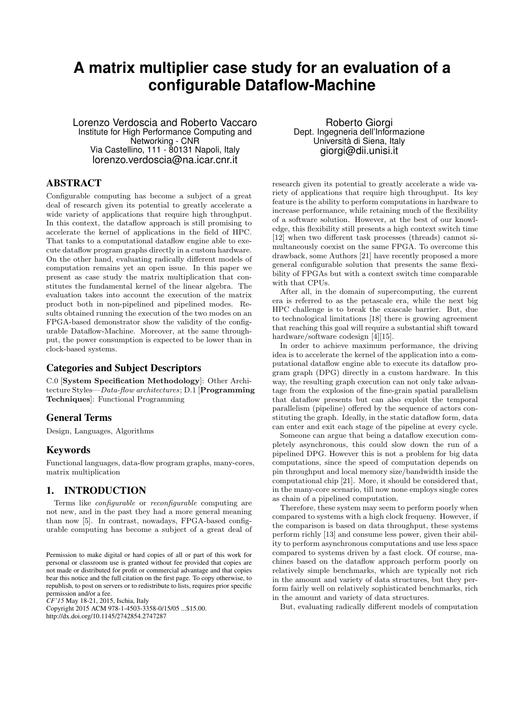# **A matrix multiplier case study for an evaluation of a configurable Dataflow-Machine**

Lorenzo Verdoscia and Roberto Vaccaro Institute for High Performance Computing and Networking - CNR Via Castellino, 111 - 80131 Napoli, Italy lorenzo.verdoscia@na.icar.cnr.it

## ABSTRACT

Configurable computing has become a subject of a great deal of research given its potential to greatly accelerate a wide variety of applications that require high throughput. In this context, the dataflow approach is still promising to accelerate the kernel of applications in the field of HPC. That tanks to a computational dataflow engine able to execute dataflow program graphs directly in a custom hardware. On the other hand, evaluating radically different models of computation remains yet an open issue. In this paper we present as case study the matrix multiplication that constitutes the fundamental kernel of the linear algebra. The evaluation takes into account the execution of the matrix product both in non-pipelined and pipelined modes. Results obtained running the execution of the two modes on an FPGA-based demonstrator show the validity of the configurable Dataflow-Machine. Moreover, at the same throughput, the power consumption is expected to be lower than in clock-based systems.

### Categories and Subject Descriptors

C.0 [**System Specification Methodology**]: Other Architecture Styles—*Data-flow architectures*; D.1 [**Programming Techniques**]: Functional Programming

### General Terms

Design, Languages, Algorithms

### Keywords

Functional languages, data-flow program graphs, many-cores, matrix multiplication

# 1. INTRODUCTION

Terms like *configurable* or *reconfigurable* computing are not new, and in the past they had a more general meaning than now [5]. In contrast, nowadays, FPGA-based configurable computing has become a subject of a great deal of

*CF'15* May 18-21, 2015, Ischia, Italy

Copyright 2015 ACM 978-1-4503-3358-0/15/05 ...\$15.00. http://dx.doi.org/10.1145/2742854.2747287

Roberto Giorgi Dept. Ingegneria dell'Informazione Università di Siena, Italy giorgi@dii.unisi.it

research given its potential to greatly accelerate a wide variety of applications that require high throughput. Its key feature is the ability to perform computations in hardware to increase performance, while retaining much of the flexibility of a software solution. However, at the best of our knowledge, this flexibility still presents a high context switch time [12] when two different task processes (threads) cannot simultaneously coexist on the same FPGA. To overcome this drawback, some Authors [21] have recently proposed a more general configurable solution that presents the same flexibility of FPGAs but with a context switch time comparable with that CPUs.

After all, in the domain of supercomputing, the current era is referred to as the petascale era, while the next big HPC challenge is to break the exascale barrier. But, due to technological limitations [18] there is growing agreement that reaching this goal will require a substantial shift toward hardware/software codesign [4][15].

In order to achieve maximum performance, the driving idea is to accelerate the kernel of the application into a computational dataflow engine able to execute its dataflow program graph (DPG) directly in a custom hardware. In this way, the resulting graph execution can not only take advantage from the explosion of the fine-grain spatial parallelism that dataflow presents but can also exploit the temporal parallelism (pipeline) offered by the sequence of actors constituting the graph. Ideally, in the static dataflow form, data can enter and exit each stage of the pipeline at every cycle.

Someone can argue that being a dataflow execution completely asynchronous, this could slow down the run of a pipelined DPG. However this is not a problem for big data computations, since the speed of computation depends on pin throughput and local memory size/bandwidth inside the computational chip [21]. More, it should be considered that, in the many-core scenario, till now none employs single cores as chain of a pipelined computation.

Therefore, these system may seem to perform poorly when compared to systems with a high clock frequeny. However, if the comparison is based on data throughput, these systems perform richly [13] and consume less power, given their ability to perform asynchronous computations and use less space compared to systems driven by a fast clock. Of course, machines based on the dataflow approach perform poorly on relatively simple benchmarks, which are typically not rich in the amount and variety of data structures, but they perform fairly well on relatively sophisticated benchmarks, rich in the amount and variety of data structures.

But, evaluating radically different models of computation

Permission to make digital or hard copies of all or part of this work for personal or classroom use is granted without fee provided that copies are not made or distributed for profit or commercial advantage and that copies bear this notice and the full citation on the first page. To copy otherwise, to republish, to post on servers or to redistribute to lists, requires prior specific permission and/or a fee.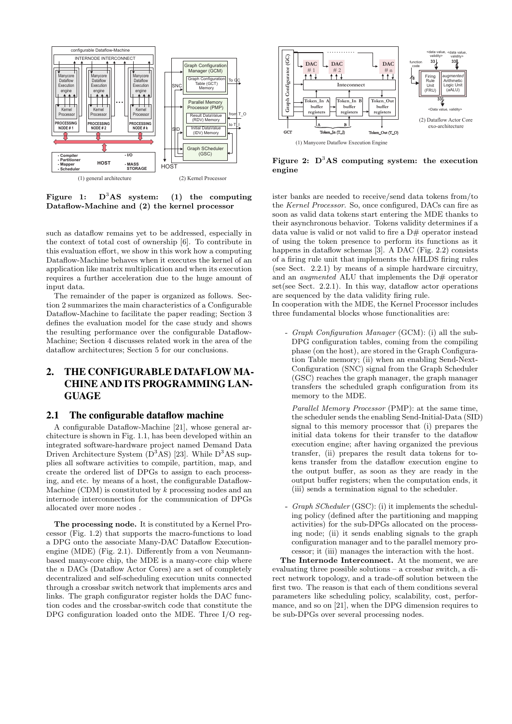

**Figure 1: D**<sup>3</sup>**AS system: (1) the computing Dataflow-Machine and (2) the kernel processor**

such as dataflow remains yet to be addressed, especially in the context of total cost of ownership [6]. To contribute in this evaluation effort, we show in this work how a computing Dataflow-Machine behaves when it executes the kernel of an application like matrix multiplication and when its execution requires a further acceleration due to the huge amount of input data.

The remainder of the paper is organized as follows. Section 2 summarizes the main characteristics of a Configurable Dataflow-Machine to facilitate the paper reading; Section 3 defines the evaluation model for the case study and shows the resulting performance over the configurable Dataflow-Machine; Section 4 discusses related work in the area of the dataflow architectures; Section 5 for our conclusions.

# 2. THE CONFIGURABLE DATAFLOW MA-CHINE AND ITS PROGRAMMING LAN-**GUAGE**

#### 2.1 The configurable dataflow machine

A configurable Dataflow-Machine [21], whose general architecture is shown in Fig. 1.1, has been developed within an integrated software-hardware project named Demand Data Driven Architecture System  $(D^3AS)$  [23]. While  $D^3AS$  supplies all software activities to compile, partition, map, and create the ordered list of DPGs to assign to each processing, and etc. by means of a host, the configurable Dataflow-Machine (CDM) is constituted by *k* processing nodes and an internode interconnection for the communication of DPGs allocated over more nodes .

**The processing node.** It is constituted by a Kernel Processor (Fig. 1.2) that supports the macro-functions to load a DPG onto the associate Many-DAC Dataflow Executionengine (MDE) (Fig. 2.1). Differently from a von Neumannbased many-core chip, the MDE is a many-core chip where the *n* DACs (Dataflow Actor Cores) are a set of completely decentralized and self-scheduling execution units connected through a crossbar switch network that implements arcs and links. The graph configurator register holds the DAC function codes and the crossbar-switch code that constitute the DPG configuration loaded onto the MDE. Three I/O reg-



**Figure 2: D**<sup>3</sup>**AS computing system: the execution engine**

ister banks are needed to receive/send data tokens from/to the *Kernel Processor*. So, once configured, DACs can fire as soon as valid data tokens start entering the MDE thanks to their asynchronous behavior. Tokens validity determines if a data value is valid or not valid to fire a  $D#$  operator instead of using the token presence to perform its functions as it happens in dataflow schemas [3]. A DAC (Fig. 2.2) consists of a firing rule unit that implements the *h*HLDS firing rules (see Sect. 2.2.1) by means of a simple hardware circuitry, and an *augmented* ALU that implements the D# operator set(see Sect. 2.2.1). In this way, dataflow actor operations are sequenced by the data validity firing rule.

In cooperation with the MDE, the Kernel Processor includes three fundamental blocks whose functionalities are:

- *Graph Configuration Manager* (GCM): (i) all the sub-DPG configuration tables, coming from the compiling phase (on the host), are stored in the Graph Configuration Table memory; (ii) when an enabling Send-Next-Configuration (SNC) signal from the Graph Scheduler (GSC) reaches the graph manager, the graph manager transfers the scheduled graph configuration from its memory to the MDE.

*Parallel Memory Processor* (PMP): at the same time, the scheduler sends the enabling Send-Initial-Data (SID) signal to this memory processor that (i) prepares the initial data tokens for their transfer to the dataflow execution engine; after having organized the previous transfer, (ii) prepares the result data tokens for tokens transfer from the dataflow execution engine to the output buffer, as soon as they are ready in the output buffer registers; when the computation ends, it (iii) sends a termination signal to the scheduler.

- *Graph SCheduler* (GSC): (i) it implements the scheduling policy (defined after the partitioning and mapping activities) for the sub-DPGs allocated on the processing node; (ii) it sends enabling signals to the graph configuration manager and to the parallel memory processor; it (iii) manages the interaction with the host.

**The Internode Interconnect.** At the moment, we are evaluating three possible solutions – a crossbar switch, a direct network topology, and a trade-off solution between the first two. The reason is that each of them conditions several parameters like scheduling policy, scalability, cost, performance, and so on [21], when the DPG dimension requires to be sub-DPGs over several processing nodes.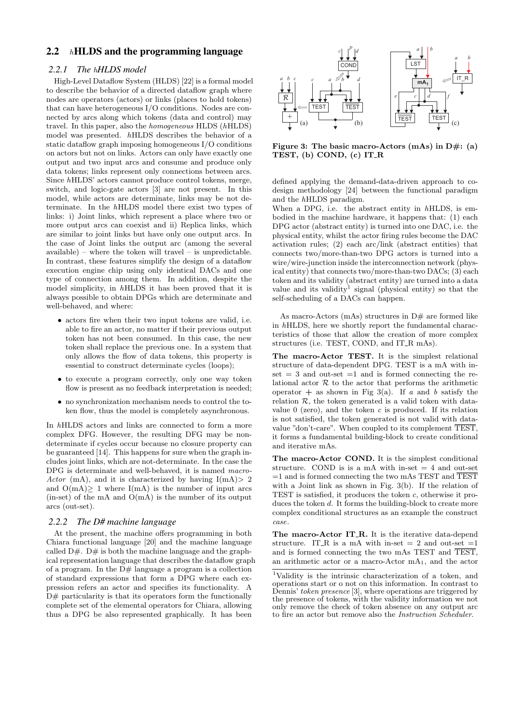#### 2.2 *h*HLDS and the programming language

#### *2.2.1 The hHLDS model*

High-Level Dataflow System (HLDS) [22] is a formal model to describe the behavior of a directed dataflow graph where nodes are operators (actors) or links (places to hold tokens) that can have heterogeneous I/O conditions. Nodes are connected by arcs along which tokens (data and control) may travel. In this paper, also the *homogeneous* HLDS (*h*HLDS) model was presented. *h*HLDS describes the behavior of a static dataflow graph imposing homogeneous I/O conditions on actors but not on links. Actors can only have exactly one output and two input arcs and consume and produce only data tokens; links represent only connections between arcs. Since *h*HLDS' actors cannot produce control tokens, merge, switch, and logic-gate actors [3] are not present. In this model, while actors are determinate, links may be not determinate. In the *h*HLDS model there exist two types of links: i) Joint links, which represent a place where two or more output arcs can coexist and ii) Replica links, which are similar to joint links but have only one output arcs. In the case of Joint links the output arc (among the several available) – where the token will travel – is unpredictable. In contrast, these features simplify the design of a dataflow execution engine chip using only identical DACs and one type of connection among them. In addition, despite the model simplicity, in *h*HLDS it has been proved that it is always possible to obtain DPGs which are determinate and well-behaved, and where:

- *•* actors fire when their two input tokens are valid, i.e. able to fire an actor, no matter if their previous output token has not been consumed. In this case, the new token shall replace the previous one. In a system that only allows the flow of data tokens, this property is essential to construct determinate cycles (loops);
- to execute a program correctly, only one way token flow is present as no feedback interpretation is needed;
- *•* no synchronization mechanism needs to control the token flow, thus the model is completely asynchronous.

In *h*HLDS actors and links are connected to form a more complex DFG. However, the resulting DFG may be nondeterminate if cycles occur because no closure property can be guaranteed [14]. This happens for sure when the graph includes joint links, which are not-determinate. In the case the DPG is determinate and well-behaved, it is named *macro-Actor* (mA), and it is characterized by having I(mA)*>* 2 and  $O(mA) \geq 1$  where I(mA) is the number of input arcs  $(in-set)$  of the mA and  $O(mA)$  is the number of its output arcs (out-set).

#### *2.2.2 The D# machine language*

At the present, the machine offers programming in both Chiara functional language [20] and the machine language called  $D\#$ .  $D\#$  is both the machine language and the graphical representation language that describes the dataflow graph of a program. In the  $D#$  language a program is a collection of standard expressions that form a DPG where each expression refers an actor and specifies its functionality. A  $D#$  particularity is that its operators form the functionally complete set of the elemental operators for Chiara, allowing thus a DPG be also represented graphically. It has been



**Figure 3: The basic macro-Actors (mAs) in D#: (a) TEST, (b) COND, (c) IT R**

defined applying the demand-data-driven approach to codesign methodology [24] between the functional paradigm and the *h*HLDS paradigm.

When a DPG, i.e. the abstract entity in *h*HLDS, is embodied in the machine hardware, it happens that: (1) each DPG actor (abstract entity) is turned into one DAC, i.e. the physical entity, whilst the actor firing rules become the DAC activation rules; (2) each arc/link (abstract entities) that connects two/more-than-two DPG actors is turned into a wire/wire-junction inside the interconnection network (physical entity) that connects two/more-than-two DACs; (3) each token and its validity (abstract entity) are turned into a data value and its validity<sup>1</sup> signal (physical entity) so that the self-scheduling of a DACs can happen.

As macro-Actors (mAs) structures in  $D#$  are formed like in *h*HLDS, here we shortly report the fundamental characteristics of those that allow the creation of more complex structures (i.e. TEST, COND, and IT\_R mAs).

**The macro-Actor TEST.** It is the simplest relational structure of data-dependent DPG. TEST is a mA with in $set = 3$  and out-set  $=1$  and is formed connecting the relational actor  $R$  to the actor that performs the arithmetic operator  $+$  as shown in Fig 3(a). If *a* and *b* satisfy the relation  $R$ , the token generated is a valid token with datavalue 0 (zero), and the token *c* is produced. If its relation is not satisfied, the token generated is not valid with datavalue "don't-care". When coupled to its complement TEST, it forms a fundamental building-block to create conditional and iterative mAs.

**The macro-Actor COND.** It is the simplest conditional structure. COND is is a mA with in-set  $= 4$  and out-set  $=1$  and is formed connecting the two mAs TEST and TEST with a Joint link as shown in Fig. 3(b). If the relation of TEST is satisfied, it produces the token *c*, otherwise it produces the token *d*. It forms the building-block to create more complex conditional structures as an example the construct *case*.

The macro-Actor IT<sub>-R</sub>. It is the iterative data-depend structure. IT\_R is a mA with in-set  $= 2$  and out-set  $= 1$ and is formed connecting the two mAs TEST and TEST, an arithmetic actor or a macro-Actor  $mA_1$ , and the actor

<sup>1</sup>Validity is the intrinsic characterization of a token, and operations start or o not on this information. In contrast to Dennis' *token presence* [3], where operations are triggered by the presence of tokens, with the validity information we not only remove the check of token absence on any output arc to fire an actor but remove also the *Instruction Scheduler*.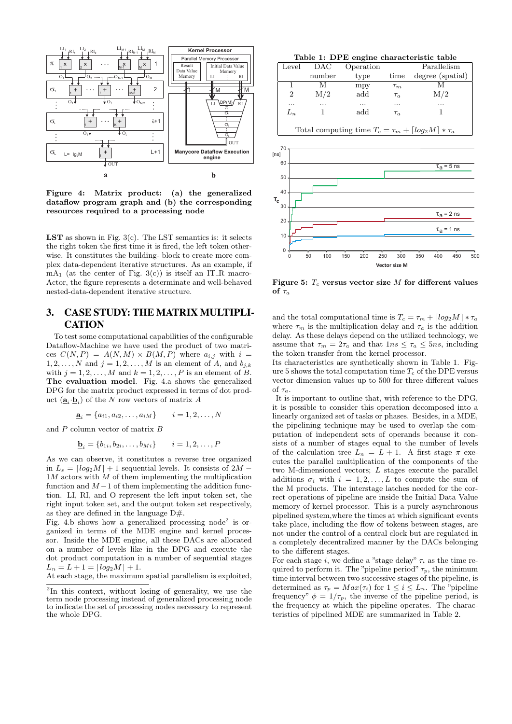

**Figure 4: Matrix product: (a) the generalized dataflow program graph and (b) the corresponding resources required to a processing node**

**LST** as shown in Fig. 3(c). The LST semantics is: it selects the right token the first time it is fired, the left token otherwise. It constitutes the building- block to create more complex data-dependent iterative structures. As an example, if  $mA_1$  (at the center of Fig. 3(c)) is itself an IT\_R macro-Actor, the figure represents a determinate and well-behaved nested-data-dependent iterative structure.

#### 3. CASE STUDY: THE MATRIX MULTIPLI-**CATION**

To test some computational capabilities of the configurable Dataflow-Machine we have used the product of two matrices  $C(N, P) = A(N, M) \times B(M, P)$  where  $a_{i,j}$  with  $i =$  $1, 2, \ldots, N$  and  $j = 1, 2, \ldots, M$  is an element of *A*, and  $b_{j,k}$ with  $j = 1, 2, \ldots, M$  and  $k = 1, 2, \ldots, P$  is an element of *B*. **The evaluation model**. Fig. 4.a shows the generalized DPG for the matrix product expressed in terms of dot product  $(\underline{\mathbf{a}}_i \cdot \underline{\mathbf{b}}_i)$  of the *N* row vectors of matrix *A* 

$$
\underline{\mathbf{a}}_i = \{a_{i1}, a_{i2}, \dots, a_{iM}\} \qquad i = 1, 2, \dots, N
$$

and *P* column vector of matrix *B*

$$
\underline{\mathbf{b}}_i = \{b_{1i}, b_{2i}, \dots, b_{Mi}\} \qquad i = 1, 2, \dots, P
$$

As we can observe, it constitutes a reverse tree organized  $\sin L_s = [log_2 M] + 1$  sequential levels. It consists of 2*M* − 1*M* actors with *M* of them implementing the multiplication function and  $M-1$  of them implementing the addition function. LI, RI, and O represent the left input token set, the right input token set, and the output token set respectively, as they are defined in the language D#.

Fig. 4.b shows how a generalized processing node<sup>2</sup> is organized in terms of the MDE engine and kernel processor. Inside the MDE engine, all these DACs are allocated on a number of levels like in the DPG and execute the dot product computation in a number of sequential stages  $L_n = L + 1 = \lfloor log_2 M \rfloor + 1.$ 

At each stage, the maximum spatial parallelism is exploited,

**Table 1: DPE engine characteristic table**

| Level                                                                  | DAC    | Operation |          | Parallelism      |  |  |  |  |
|------------------------------------------------------------------------|--------|-----------|----------|------------------|--|--|--|--|
|                                                                        | number | type      | time     | degree (spatial) |  |  |  |  |
|                                                                        | М      | mpy       | $\tau_m$ |                  |  |  |  |  |
| $\overline{2}$                                                         | M/2    | add       | $\tau_a$ | M/2              |  |  |  |  |
|                                                                        |        |           | .        | .                |  |  |  |  |
| $L_n$                                                                  |        | add       | $\tau_a$ |                  |  |  |  |  |
|                                                                        |        |           |          |                  |  |  |  |  |
| Total computing time $T_c = \tau_m + \lfloor log_2 M \rfloor * \tau_a$ |        |           |          |                  |  |  |  |  |



**Figure 5:** *T<sup>c</sup>* **versus vector size** *M* **for different values of** *τ<sup>a</sup>*

and the total computational time is  $T_c = \tau_m + \left[ \log_2 M \right] * \tau_a$ where  $\tau_m$  is the multiplication delay and  $\tau_a$  is the addition delay. As these delays depend on the utilized technology, we assume that  $\tau_m = 2\tau_a$  and that  $1ns \leq \tau_a \leq 5ns$ , including the token transfer from the kernel processor.

Its characteristics are synthetically shown in Table 1. Figure 5 shows the total computation time  $T_c$  of the DPE versus vector dimension values up to 500 for three different values of *τa*.

It is important to outline that, with reference to the DPG, it is possible to consider this operation decomposed into a linearly organized set of tasks or phases. Besides, in a MDE, the pipelining technique may be used to overlap the computation of independent sets of operands because it consists of a number of stages equal to the number of levels of the calculation tree  $L_n = L + 1$ . A first stage  $\pi$  executes the parallel multiplication of the components of the two M-dimensioned vectors; *L* stages execute the parallel additions  $\sigma_i$  with  $i = 1, 2, \ldots, L$  to compute the sum of the M products. The interstage latches needed for the correct operations of pipeline are inside the Initial Data Value memory of kernel processor. This is a purely asynchronous pipelined system,where the times at which significant events take place, including the flow of tokens between stages, are not under the control of a central clock but are regulated in a completely decentralized manner by the DACs belonging to the different stages.

For each stage *i*, we define a "stage delay"  $\tau_i$  as the time required to perform it. The "pipeline period"  $\tau_p$ , the minimum time interval between two successive stages of the pipeline, is determined as  $\tau_p = Max(\tau_i)$  for  $1 \leq i \leq L_n$ . The "pipeline" frequency"  $\phi = 1/\tau_p$ , the inverse of the pipeline period, is the frequency at which the pipeline operates. The characteristics of pipelined MDE are summarized in Table 2.

<sup>2</sup> In this context, without losing of generality, we use the term node processing instead of generalized processing node to indicate the set of processing nodes necessary to represent the whole DPG.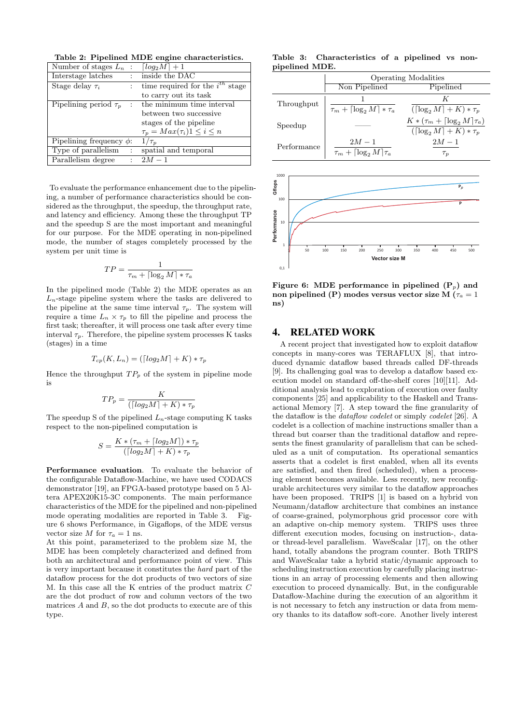**Table 2: Pipelined MDE engine characteristics.**

| Number of stages $L_n$ : $\lceil log_2 M \rceil + 1$ |                |                                        |
|------------------------------------------------------|----------------|----------------------------------------|
| Interstage latches                                   |                | $:$ inside the DAC                     |
| Stage delay $\tau_i$                                 | $\ddot{\cdot}$ | time required for the $i^{th}$ stage   |
|                                                      |                | to carry out its task                  |
| Pipelining period $\tau_n$                           |                | the minimum time interval              |
|                                                      |                | between two successive                 |
|                                                      |                | stages of the pipeline                 |
|                                                      |                | $\tau_p = Max(\tau_i) 1 \leq i \leq n$ |
| Pipelining frequency $\phi$ :                        |                | $1/\tau_n$                             |
| Type of parallelism                                  | $\ddot{\cdot}$ | spatial and temporal                   |
| Parallelism degree                                   | $\cdot$        | $2M - 1$                               |

To evaluate the performance enhancement due to the pipelining, a number of performance characteristics should be considered as the throughput, the speedup, the throughput rate, and latency and efficiency. Among these the throughput TP and the speedup S are the most important and meaningful for our purpose. For the MDE operating in non-pipelined mode, the number of stages completely processed by the system per unit time is

$$
TP = \frac{1}{\tau_m + \lceil \log_2 M \rceil * \tau_a}
$$

In the pipelined mode (Table 2) the MDE operates as an  $L_n$ -stage pipeline system where the tasks are delivered to the pipeline at the same time interval  $\tau_p$ . The system will require a time  $L_n \times \tau_p$  to fill the pipeline and process the first task; thereafter, it will process one task after every time interval  $\tau_p$ . Therefore, the pipeline system processes K tasks (stages) in a time

$$
T_{cp}(K, L_n) = (\lceil log_2 M \rceil + K) * \tau_p
$$

Hence the throughput  $TP_p$  of the system in pipeline mode is

$$
TP_p = \frac{K}{(\lceil log_2 M \rceil + K) * \tau_p}
$$

The speedup S of the pipelined  $L_n$ -stage computing K tasks respect to the non-pipelined computation is

$$
S = \frac{K * (\tau_m + \lceil log_2 M \rceil) * \tau_p}{(\lceil log_2 M \rceil + K) * \tau_p}
$$

**Performance evaluation**. To evaluate the behavior of the configurable Dataflow-Machine, we have used CODACS demonstrator [19], an FPGA-based prototype based on 5 Altera APEX20K15-3C components. The main performance characteristics of the MDE for the pipelined and non-pipelined mode operating modalities are reported in Table 3. Figure 6 shows Performance, in Gigaflops, of the MDE versus vector size *M* for  $\tau_a = 1$  ns.

At this point, parameterized to the problem size M, the MDE has been completely characterized and defined from both an architectural and performance point of view. This is very important because it constitutes the *hard* part of the dataflow process for the dot products of two vectors of size M. In this case all the K entries of the product matrix *C* are the dot product of row and column vectors of the two matrices *A* and *B*, so the dot products to execute are of this type.

**Table 3: Characteristics of a pipelined vs nonpipelined MDE.**

|             | <b>Operating Modalities</b>                          |                                                                                         |  |  |
|-------------|------------------------------------------------------|-----------------------------------------------------------------------------------------|--|--|
|             | Non Pipelined                                        | Pipelined                                                                               |  |  |
| Throughput  | $\tau_m + \lceil \log_2 M \rceil * \tau_a$           | K<br>$(\lceil \log_2 M \rceil + K) * \tau_n$                                            |  |  |
| Speedup     |                                                      | $K*(\tau_m + \lceil \log_2 M \rceil \tau_a)$<br>$(\lceil \log_2 M \rceil + K) * \tau_p$ |  |  |
| Performance | $2M - 1$<br>$\tau_m + \lceil \log_2 M \rceil \tau_a$ | $2M - 1$<br>$\tau_n$                                                                    |  |  |
|             |                                                      |                                                                                         |  |  |



**Figure 6: MDE performance in pipelined (P***p***) and** non pipelined (P) modes versus vector size M ( $\tau_a = 1$ **ns)**

#### 4. RELATED WORK

A recent project that investigated how to exploit dataflow concepts in many-cores was TERAFLUX [8], that introduced dynamic dataflow based threads called DF-threads [9]. Its challenging goal was to develop a dataflow based execution model on standard off-the-shelf cores [10][11]. Additional analysis lead to exploration of execution over faulty components [25] and applicability to the Haskell and Transactional Memory [7]. A step toward the fine granularity of the dataflow is the *dataflow codelet* or simply *codelet* [26]. A codelet is a collection of machine instructions smaller than a thread but coarser than the traditional dataflow and represents the finest granularity of parallelism that can be scheduled as a unit of computation. Its operational semantics asserts that a codelet is first enabled, when all its events are satisfied, and then fired (scheduled), when a processing element becomes available. Less recently, new reconfigurable architectures very similar to the dataflow approaches have been proposed. TRIPS [1] is based on a hybrid von Neumann/dataflow architecture that combines an instance of coarse-grained, polymorphous grid processor core with an adaptive on-chip memory system. TRIPS uses three different execution modes, focusing on instruction-, dataor thread-level parallelism. WaveScalar [17], on the other hand, totally abandons the program counter. Both TRIPS and WaveScalar take a hybrid static/dynamic approach to scheduling instruction execution by carefully placing instructions in an array of processing elements and then allowing execution to proceed dynamically. But, in the configurable Dataflow-Machine during the execution of an algorithm it is not necessary to fetch any instruction or data from memory thanks to its dataflow soft-core. Another lively interest